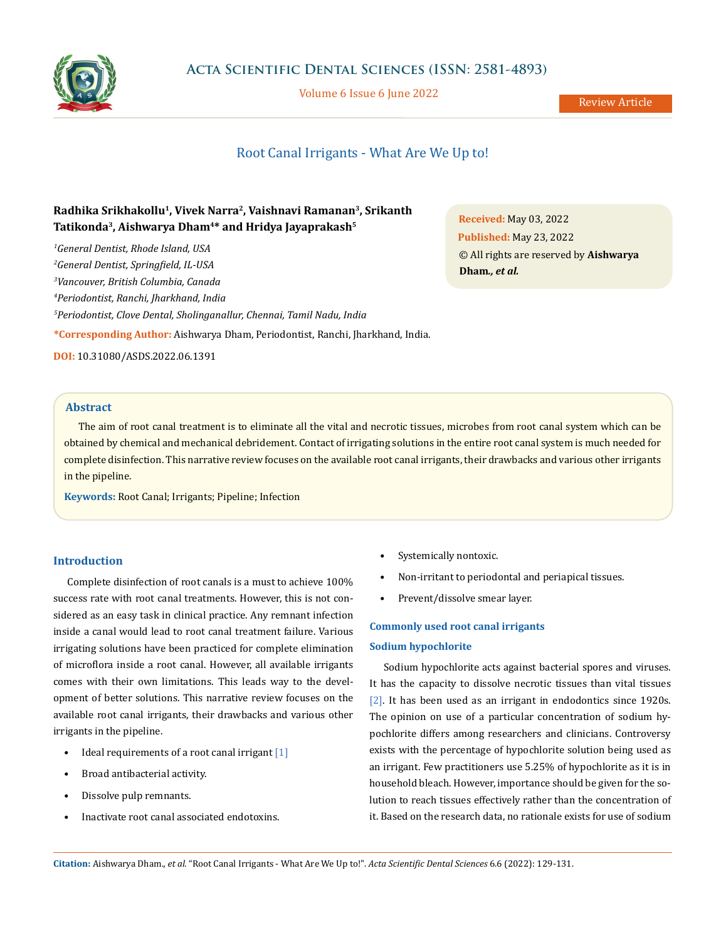

Volume 6 Issue 6 June 2022

Review Article

# Root Canal Irrigants - What Are We Up to!

# **Radhika Srikhakollu1, Vivek Narra2, Vaishnavi Ramanan3, Srikanth Tatikonda3, Aishwarya Dham4\* and Hridya Jayaprakash5**

 *General Dentist, Rhode Island, USA General Dentist, Springfield, IL-USA Vancouver, British Columbia, Canada Periodontist, Ranchi, Jharkhand, India Periodontist, Clove Dental, Sholinganallur, Chennai, Tamil Nadu, India* **\*Corresponding Author:** Aishwarya Dham, Periodontist, Ranchi, Jharkhand, India. **DOI:** [10.31080/ASDS.2022.06.1391](https://actascientific.com/ASDS/pdf/ASDS-06-1391.pdf)

**Received:** May 03, 2022 **Published:** May 23, 2022 © All rights are reserved by **Aishwarya Dham***., et al.*

# **Abstract**

The aim of root canal treatment is to eliminate all the vital and necrotic tissues, microbes from root canal system which can be obtained by chemical and mechanical debridement. Contact of irrigating solutions in the entire root canal system is much needed for complete disinfection. This narrative review focuses on the available root canal irrigants, their drawbacks and various other irrigants in the pipeline.

**Keywords:** Root Canal; Irrigants; Pipeline; Infection

# **Introduction**

Complete disinfection of root canals is a must to achieve 100% success rate with root canal treatments. However, this is not considered as an easy task in clinical practice. Any remnant infection inside a canal would lead to root canal treatment failure. Various irrigating solutions have been practiced for complete elimination of microflora inside a root canal. However, all available irrigants comes with their own limitations. This leads way to the development of better solutions. This narrative review focuses on the available root canal irrigants, their drawbacks and various other irrigants in the pipeline.

- Ideal requirements of a root canal irrigant [1]
- Broad antibacterial activity.
- Dissolve pulp remnants.
- Inactivate root canal associated endotoxins.
- Systemically nontoxic.
- Non-irritant to periodontal and periapical tissues.
- Prevent/dissolve smear layer.

# **Commonly used root canal irrigants**

### **Sodium hypochlorite**

Sodium hypochlorite acts against bacterial spores and viruses. It has the capacity to dissolve necrotic tissues than vital tissues [2]. It has been used as an irrigant in endodontics since 1920s. The opinion on use of a particular concentration of sodium hypochlorite differs among researchers and clinicians. Controversy exists with the percentage of hypochlorite solution being used as an irrigant. Few practitioners use 5.25% of hypochlorite as it is in household bleach. However, importance should be given for the solution to reach tissues effectively rather than the concentration of it. Based on the research data, no rationale exists for use of sodium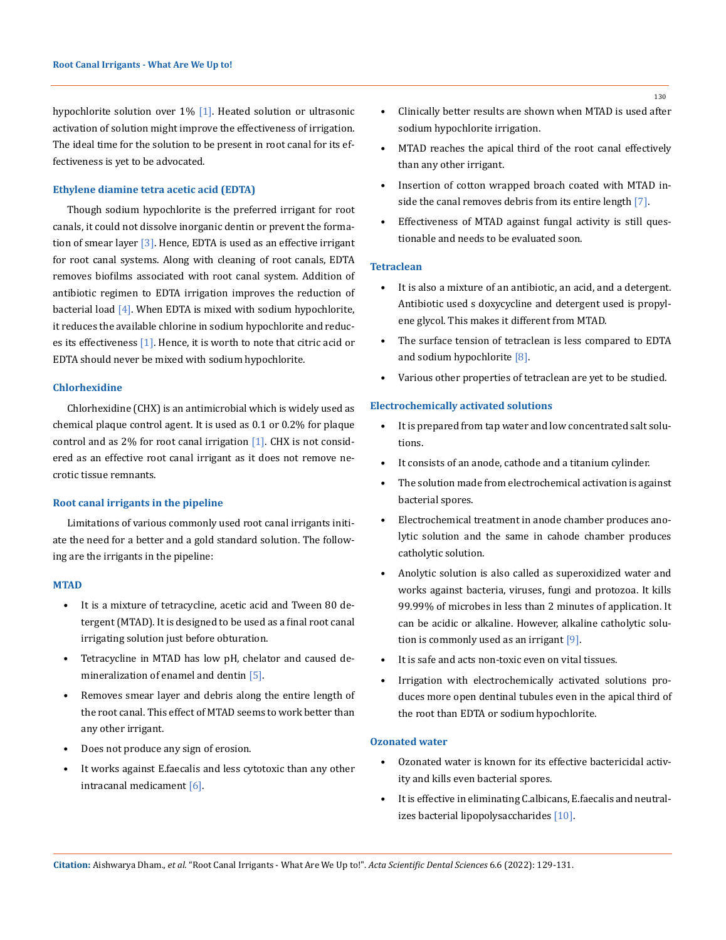hypochlorite solution over 1% [1]. Heated solution or ultrasonic activation of solution might improve the effectiveness of irrigation. The ideal time for the solution to be present in root canal for its effectiveness is yet to be advocated.

# **Ethylene diamine tetra acetic acid (EDTA)**

Though sodium hypochlorite is the preferred irrigant for root canals, it could not dissolve inorganic dentin or prevent the formation of smear layer  $\lceil 3 \rceil$ . Hence, EDTA is used as an effective irrigant for root canal systems. Along with cleaning of root canals, EDTA removes biofilms associated with root canal system. Addition of antibiotic regimen to EDTA irrigation improves the reduction of bacterial load [4]. When EDTA is mixed with sodium hypochlorite, it reduces the available chlorine in sodium hypochlorite and reduces its effectiveness [1]. Hence, it is worth to note that citric acid or EDTA should never be mixed with sodium hypochlorite.

# **Chlorhexidine**

Chlorhexidine (CHX) is an antimicrobial which is widely used as chemical plaque control agent. It is used as 0.1 or 0.2% for plaque control and as 2% for root canal irrigation  $[1]$ . CHX is not considered as an effective root canal irrigant as it does not remove necrotic tissue remnants.

#### **Root canal irrigants in the pipeline**

Limitations of various commonly used root canal irrigants initiate the need for a better and a gold standard solution. The following are the irrigants in the pipeline:

#### **MTAD**

- It is a mixture of tetracycline, acetic acid and Tween 80 detergent (MTAD). It is designed to be used as a final root canal irrigating solution just before obturation.
- Tetracycline in MTAD has low pH, chelator and caused demineralization of enamel and dentin [5].
- Removes smear layer and debris along the entire length of the root canal. This effect of MTAD seems to work better than any other irrigant.
- Does not produce any sign of erosion.
- It works against E.faecalis and less cytotoxic than any other intracanal medicament [6].
- Clinically better results are shown when MTAD is used after sodium hypochlorite irrigation.
- MTAD reaches the apical third of the root canal effectively than any other irrigant.
- Insertion of cotton wrapped broach coated with MTAD inside the canal removes debris from its entire length [7].
- Effectiveness of MTAD against fungal activity is still questionable and needs to be evaluated soon.

# **Tetraclean**

- It is also a mixture of an antibiotic, an acid, and a detergent. Antibiotic used s doxycycline and detergent used is propylene glycol. This makes it different from MTAD.
- The surface tension of tetraclean is less compared to EDTA and sodium hypochlorite [8].
- Various other properties of tetraclean are yet to be studied.

#### **Electrochemically activated solutions**

- It is prepared from tap water and low concentrated salt solutions.
- It consists of an anode, cathode and a titanium cylinder.
- The solution made from electrochemical activation is against bacterial spores.
- Electrochemical treatment in anode chamber produces anolytic solution and the same in cahode chamber produces catholytic solution.
- Anolytic solution is also called as superoxidized water and works against bacteria, viruses, fungi and protozoa. It kills 99.99% of microbes in less than 2 minutes of application. It can be acidic or alkaline. However, alkaline catholytic solution is commonly used as an irrigant [9].
- It is safe and acts non-toxic even on vital tissues.
- Irrigation with electrochemically activated solutions produces more open dentinal tubules even in the apical third of the root than EDTA or sodium hypochlorite.

# **Ozonated water**

- Ozonated water is known for its effective bactericidal activity and kills even bacterial spores.
- It is effective in eliminating C.albicans, E.faecalis and neutralizes bacterial lipopolysaccharides [10].